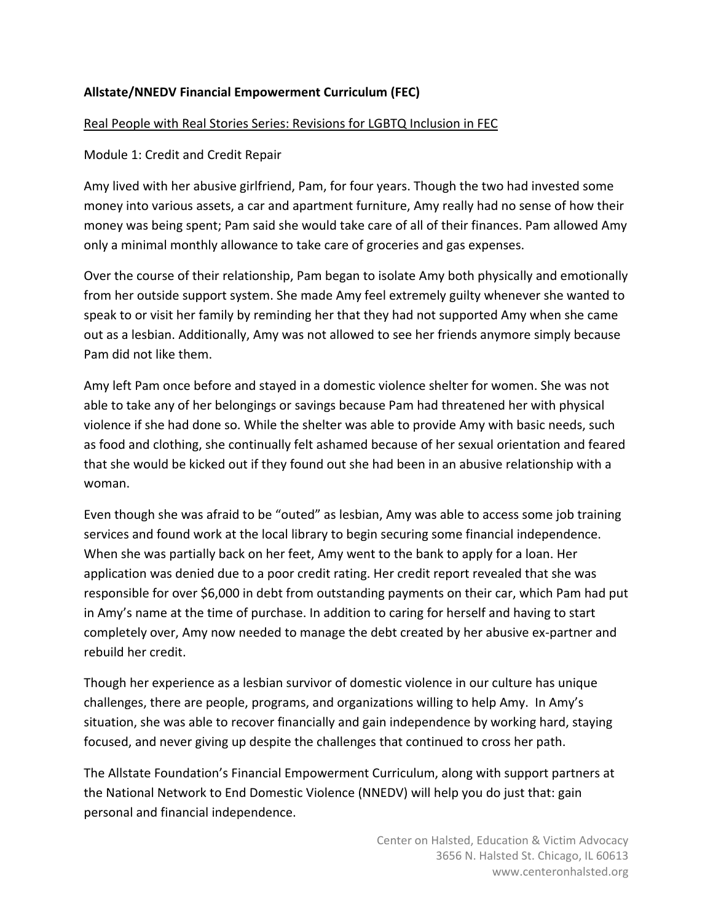# **Allstate/NNEDV Financial Empowerment Curriculum (FEC)**

### Real People with Real Stories Series: Revisions for LGBTQ Inclusion in FEC

### Module 1: Credit and Credit Repair

Amy lived with her abusive girlfriend, Pam, for four years. Though the two had invested some money into various assets, a car and apartment furniture, Amy really had no sense of how their money was being spent; Pam said she would take care of all of their finances. Pam allowed Amy only a minimal monthly allowance to take care of groceries and gas expenses.

Over the course of their relationship, Pam began to isolate Amy both physically and emotionally from her outside support system. She made Amy feel extremely guilty whenever she wanted to speak to or visit her family by reminding her that they had not supported Amy when she came out as a lesbian. Additionally, Amy was not allowed to see her friends anymore simply because Pam did not like them.

Amy left Pam once before and stayed in a domestic violence shelter for women. She was not able to take any of her belongings or savings because Pam had threatened her with physical violence if she had done so. While the shelter was able to provide Amy with basic needs, such as food and clothing, she continually felt ashamed because of her sexual orientation and feared that she would be kicked out if they found out she had been in an abusive relationship with a woman.

Even though she was afraid to be "outed" as lesbian, Amy was able to access some job training services and found work at the local library to begin securing some financial independence. When she was partially back on her feet, Amy went to the bank to apply for a loan. Her application was denied due to a poor credit rating. Her credit report revealed that she was responsible for over \$6,000 in debt from outstanding payments on their car, which Pam had put in Amy's name at the time of purchase. In addition to caring for herself and having to start completely over, Amy now needed to manage the debt created by her abusive ex-partner and rebuild her credit.

Though her experience as a lesbian survivor of domestic violence in our culture has unique challenges, there are people, programs, and organizations willing to help Amy. In Amy's situation, she was able to recover financially and gain independence by working hard, staying focused, and never giving up despite the challenges that continued to cross her path.

The Allstate Foundation's Financial Empowerment Curriculum, along with support partners at the National Network to End Domestic Violence (NNEDV) will help you do just that: gain personal and financial independence.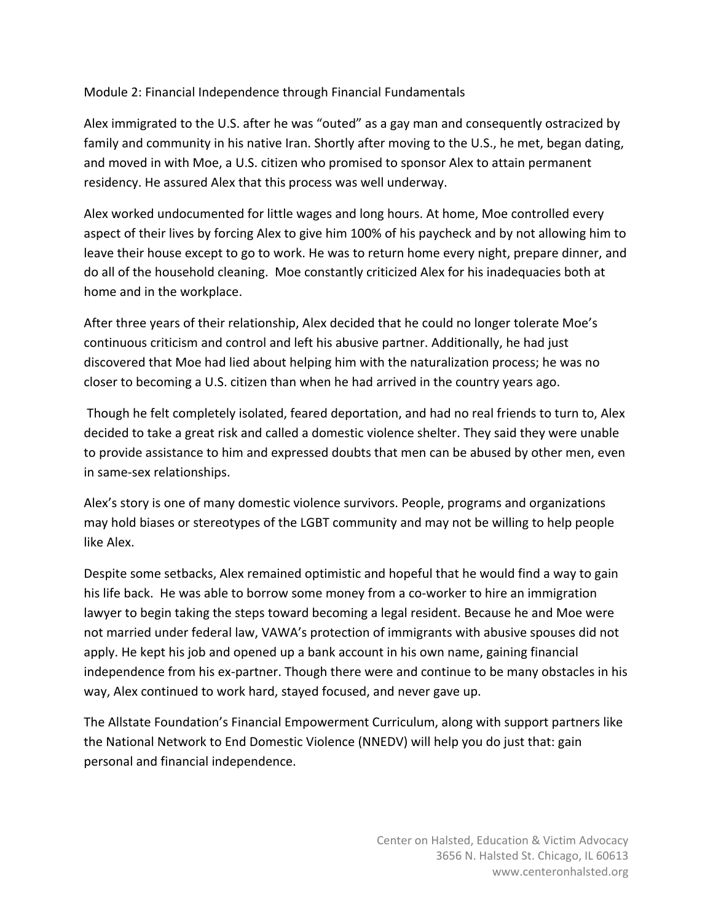## Module 2: Financial Independence through Financial Fundamentals

Alex immigrated to the U.S. after he was "outed" as a gay man and consequently ostracized by family and community in his native Iran. Shortly after moving to the U.S., he met, began dating, and moved in with Moe, a U.S. citizen who promised to sponsor Alex to attain permanent residency. He assured Alex that this process was well underway.

Alex worked undocumented for little wages and long hours. At home, Moe controlled every aspect of their lives by forcing Alex to give him 100% of his paycheck and by not allowing him to leave their house except to go to work. He was to return home every night, prepare dinner, and do all of the household cleaning. Moe constantly criticized Alex for his inadequacies both at home and in the workplace.

After three years of their relationship, Alex decided that he could no longer tolerate Moe's continuous criticism and control and left his abusive partner. Additionally, he had just discovered that Moe had lied about helping him with the naturalization process; he was no closer to becoming a U.S. citizen than when he had arrived in the country years ago.

Though he felt completely isolated, feared deportation, and had no real friends to turn to, Alex decided to take a great risk and called a domestic violence shelter. They said they were unable to provide assistance to him and expressed doubts that men can be abused by other men, even in same-sex relationships.

Alex's story is one of many domestic violence survivors. People, programs and organizations may hold biases or stereotypes of the LGBT community and may not be willing to help people like Alex.

Despite some setbacks, Alex remained optimistic and hopeful that he would find a way to gain his life back. He was able to borrow some money from a co-worker to hire an immigration lawyer to begin taking the steps toward becoming a legal resident. Because he and Moe were not married under federal law, VAWA's protection of immigrants with abusive spouses did not apply. He kept his job and opened up a bank account in his own name, gaining financial independence from his ex-partner. Though there were and continue to be many obstacles in his way, Alex continued to work hard, stayed focused, and never gave up.

The Allstate Foundation's Financial Empowerment Curriculum, along with support partners like the National Network to End Domestic Violence (NNEDV) will help you do just that: gain personal and financial independence.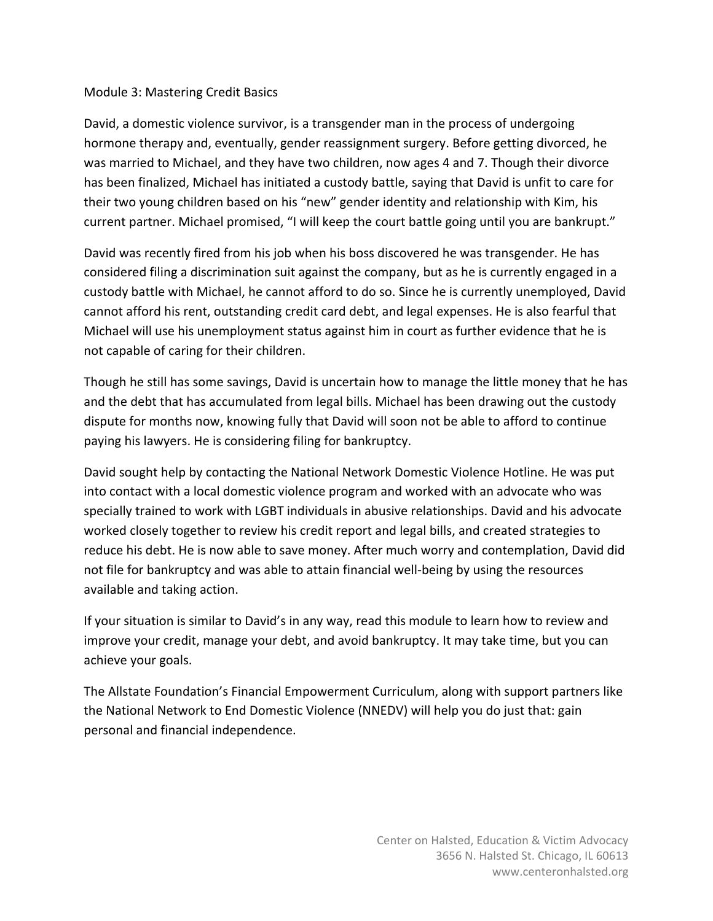#### Module 3: Mastering Credit Basics

David, a domestic violence survivor, is a transgender man in the process of undergoing hormone therapy and, eventually, gender reassignment surgery. Before getting divorced, he was married to Michael, and they have two children, now ages 4 and 7. Though their divorce has been finalized, Michael has initiated a custody battle, saying that David is unfit to care for their two young children based on his "new" gender identity and relationship with Kim, his current partner. Michael promised, "I will keep the court battle going until you are bankrupt."

David was recently fired from his job when his boss discovered he was transgender. He has considered filing a discrimination suit against the company, but as he is currently engaged in a custody battle with Michael, he cannot afford to do so. Since he is currently unemployed, David cannot afford his rent, outstanding credit card debt, and legal expenses. He is also fearful that Michael will use his unemployment status against him in court as further evidence that he is not capable of caring for their children.

Though he still has some savings, David is uncertain how to manage the little money that he has and the debt that has accumulated from legal bills. Michael has been drawing out the custody dispute for months now, knowing fully that David will soon not be able to afford to continue paying his lawyers. He is considering filing for bankruptcy.

David sought help by contacting the National Network Domestic Violence Hotline. He was put into contact with a local domestic violence program and worked with an advocate who was specially trained to work with LGBT individuals in abusive relationships. David and his advocate worked closely together to review his credit report and legal bills, and created strategies to reduce his debt. He is now able to save money. After much worry and contemplation, David did not file for bankruptcy and was able to attain financial well-being by using the resources available and taking action.

If your situation is similar to David's in any way, read this module to learn how to review and improve your credit, manage your debt, and avoid bankruptcy. It may take time, but you can achieve your goals.

The Allstate Foundation's Financial Empowerment Curriculum, along with support partners like the National Network to End Domestic Violence (NNEDV) will help you do just that: gain personal and financial independence.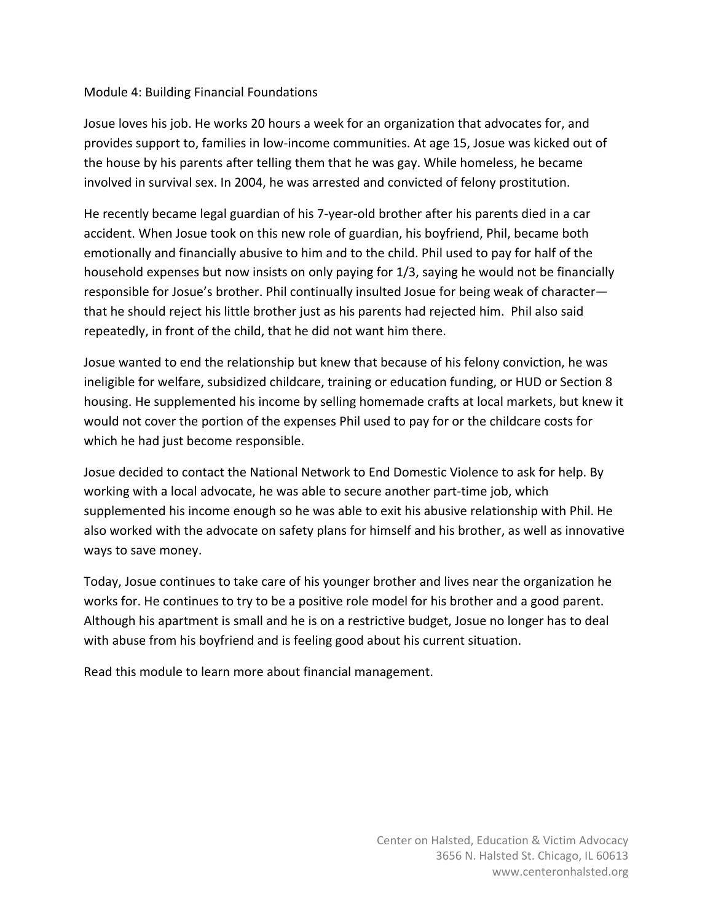### Module 4: Building Financial Foundations

Josue loves his job. He works 20 hours a week for an organization that advocates for, and provides support to, families in low-income communities. At age 15, Josue was kicked out of the house by his parents after telling them that he was gay. While homeless, he became involved in survival sex. In 2004, he was arrested and convicted of felony prostitution.

He recently became legal guardian of his 7-year-old brother after his parents died in a car accident. When Josue took on this new role of guardian, his boyfriend, Phil, became both emotionally and financially abusive to him and to the child. Phil used to pay for half of the household expenses but now insists on only paying for 1/3, saying he would not be financially responsible for Josue's brother. Phil continually insulted Josue for being weak of character that he should reject his little brother just as his parents had rejected him. Phil also said repeatedly, in front of the child, that he did not want him there.

Josue wanted to end the relationship but knew that because of his felony conviction, he was ineligible for welfare, subsidized childcare, training or education funding, or HUD or Section 8 housing. He supplemented his income by selling homemade crafts at local markets, but knew it would not cover the portion of the expenses Phil used to pay for or the childcare costs for which he had just become responsible.

Josue decided to contact the National Network to End Domestic Violence to ask for help. By working with a local advocate, he was able to secure another part-time job, which supplemented his income enough so he was able to exit his abusive relationship with Phil. He also worked with the advocate on safety plans for himself and his brother, as well as innovative ways to save money.

Today, Josue continues to take care of his younger brother and lives near the organization he works for. He continues to try to be a positive role model for his brother and a good parent. Although his apartment is small and he is on a restrictive budget, Josue no longer has to deal with abuse from his boyfriend and is feeling good about his current situation.

Read this module to learn more about financial management.